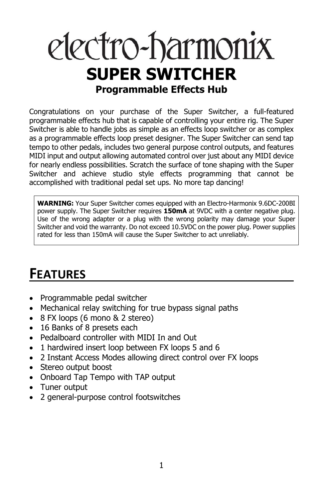# electro-harmonix **SUPER SWITCHER Programmable Effects Hub**

Congratulations on your purchase of the Super Switcher, a full-featured programmable effects hub that is capable of controlling your entire rig. The Super Switcher is able to handle jobs as simple as an effects loop switcher or as complex as a programmable effects loop preset designer. The Super Switcher can send tap tempo to other pedals, includes two general purpose control outputs, and features MIDI input and output allowing automated control over just about any MIDI device for nearly endless possibilities. Scratch the surface of tone shaping with the Super Switcher and achieve studio style effects programming that cannot be accomplished with traditional pedal set ups. No more tap dancing!

**WARNING:** Your Super Switcher comes equipped with an Electro-Harmonix 9.6DC-200BI power supply. The Super Switcher requires **150mA** at 9VDC with a center negative plug. Use of the wrong adapter or a plug with the wrong polarity may damage your Super Switcher and void the warranty. Do not exceed 10.5VDC on the power plug. Power supplies rated for less than 150mA will cause the Super Switcher to act unreliably.

## **FEATURES**

- Programmable pedal switcher
- Mechanical relay switching for true bypass signal paths
- 8 FX loops (6 mono & 2 stereo)
- 16 Banks of 8 presets each
- Pedalboard controller with MIDI In and Out
- 1 hardwired insert loop between FX loops 5 and 6
- 2 Instant Access Modes allowing direct control over FX loops
- Stereo output boost
- Onboard Tap Tempo with TAP output
- Tuner output
- 2 general-purpose control footswitches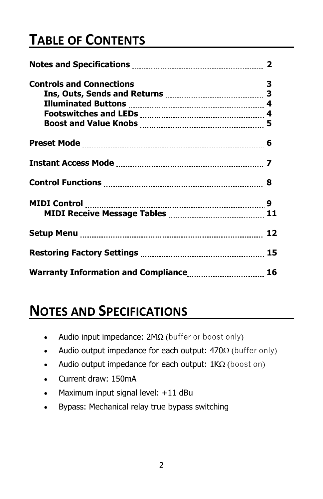## **TABLE OF CONTENTS**

| Warranty Information and Compliance 16 |  |
|----------------------------------------|--|

### **NOTES AND SPECIFICATIONS**

- Audio input impedance:  $2M\Omega$  (buffer or boost only)
- Audio output impedance for each output:  $470\Omega$  (buffer only)
- Audio output impedance for each output:  $1K\Omega$  (boost on)
- Current draw: 150mA
- Maximum input signal level: +11 dBu
- Bypass: Mechanical relay true bypass switching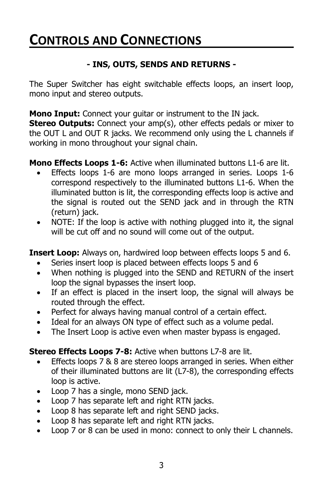### **CONTROLS AND CONNECTIONS**

### **- INS, OUTS, SENDS AND RETURNS -**

The Super Switcher has eight switchable effects loops, an insert loop, mono input and stereo outputs.

**Mono Input:** Connect your guitar or instrument to the IN jack.

**Stereo Outputs:** Connect your amp(s), other effects pedals or mixer to the OUT L and OUT R jacks. We recommend only using the L channels if working in mono throughout your signal chain.

**Mono Effects Loops 1-6:** Active when illuminated buttons L1-6 are lit.

- Effects loops 1-6 are mono loops arranged in series. Loops 1-6 correspond respectively to the illuminated buttons L1-6. When the illuminated button is lit, the corresponding effects loop is active and the signal is routed out the SEND jack and in through the RTN (return) jack.
- NOTE: If the loop is active with nothing plugged into it, the signal will be cut off and no sound will come out of the output.

**Insert Loop:** Always on, hardwired loop between effects loops 5 and 6.

- Series insert loop is placed between effects loops 5 and 6
- When nothing is plugged into the SEND and RETURN of the insert loop the signal bypasses the insert loop.
- If an effect is placed in the insert loop, the signal will always be routed through the effect.
- Perfect for always having manual control of a certain effect.
- Ideal for an always ON type of effect such as a volume pedal.
- The Insert Loop is active even when master bypass is engaged.

**Stereo Effects Loops 7-8:** Active when buttons L7-8 are lit.

- **•** Effects loops  $\overline{7}$  &  $\overline{8}$  are stereo loops arranged in series. When either of their illuminated buttons are lit (L7-8), the corresponding effects loop is active.
- Loop 7 has a single, mono SEND jack.
- Loop 7 has separate left and right RTN jacks.
- Loop 8 has separate left and right SEND jacks.
- Loop 8 has separate left and right RTN jacks.
- Loop 7 or 8 can be used in mono: connect to only their L channels.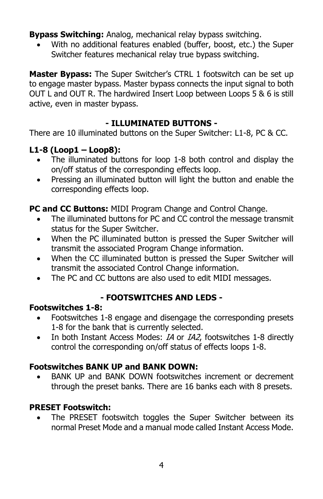**Bypass Switching:** Analog, mechanical relay bypass switching.

• With no additional features enabled (buffer, boost, etc.) the Super Switcher features mechanical relay true bypass switching.

**Master Bypass:** The Super Switcher's CTRL 1 footswitch can be set up to engage master bypass. Master bypass connects the input signal to both OUT L and OUT R. The hardwired Insert Loop between Loops 5 & 6 is still active, even in master bypass.

### **- ILLUMINATED BUTTONS -**

There are 10 illuminated buttons on the Super Switcher: L1-8, PC & CC.

### **L1-8 (Loop1 – Loop8):**

- The illuminated buttons for loop 1-8 both control and display the on/off status of the corresponding effects loop.
- Pressing an illuminated button will light the button and enable the corresponding effects loop.

### **PC and CC Buttons:** MIDI Program Change and Control Change.

- The illuminated buttons for PC and CC control the message transmit status for the Super Switcher.
- When the PC illuminated button is pressed the Super Switcher will transmit the associated Program Change information.
- When the CC illuminated button is pressed the Super Switcher will transmit the associated Control Change information.
- The PC and CC buttons are also used to edit MIDI messages.

### **- FOOTSWITCHES AND LEDS -**

### **Footswitches 1-8:**

- Footswitches 1-8 engage and disengage the corresponding presets 1-8 for the bank that is currently selected.
- In both Instant Access Modes: *IA* or *IA2*, footswitches 1-8 directly control the corresponding on/off status of effects loops 1-8.

### **Footswitches BANK UP and BANK DOWN:**

• BANK UP and BANK DOWN footswitches increment or decrement through the preset banks. There are 16 banks each with 8 presets.

### **PRESET Footswitch:**

The PRESET footswitch toggles the Super Switcher between its normal Preset Mode and a manual mode called Instant Access Mode.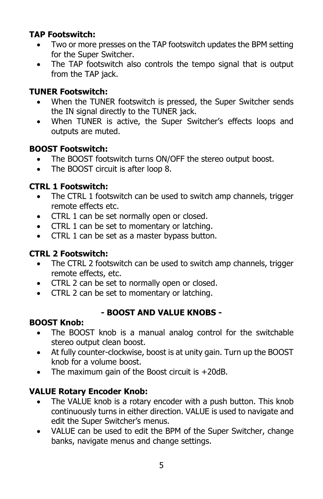### **TAP Footswitch:**

- Two or more presses on the TAP footswitch updates the BPM setting for the Super Switcher.
- The TAP footswitch also controls the tempo signal that is output from the TAP jack.

### **TUNER Footswitch:**

- When the TUNER footswitch is pressed, the Super Switcher sends the IN signal directly to the TUNER jack.
- When TUNER is active, the Super Switcher's effects loops and outputs are muted.

### **BOOST Footswitch:**

- The BOOST footswitch turns ON/OFF the stereo output boost.
- The BOOST circuit is after loop 8.

### **CTRL 1 Footswitch:**

- The CTRL 1 footswitch can be used to switch amp channels, trigger remote effects etc.
- CTRL 1 can be set normally open or closed.
- CTRL 1 can be set to momentary or latching.
- CTRL 1 can be set as a master bypass button.

### **CTRL 2 Footswitch:**

- The CTRL 2 footswitch can be used to switch amp channels, trigger remote effects, etc.
- CTRL 2 can be set to normally open or closed.
- CTRL 2 can be set to momentary or latching.

### **- BOOST AND VALUE KNOBS -**

### **BOOST Knob:**

- The BOOST knob is a manual analog control for the switchable stereo output clean boost.
- At fully counter-clockwise, boost is at unity gain. Turn up the BOOST knob for a volume boost.
- The maximum gain of the Boost circuit is +20dB.

### **VALUE Rotary Encoder Knob:**

- The VALUE knob is a rotary encoder with a push button. This knob continuously turns in either direction. VALUE is used to navigate and edit the Super Switcher's menus.
- VALUE can be used to edit the BPM of the Super Switcher, change banks, navigate menus and change settings.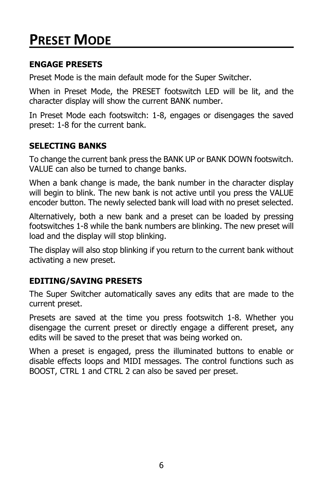## **PRESET MODE**

### **ENGAGE PRESETS**

Preset Mode is the main default mode for the Super Switcher.

When in Preset Mode, the PRESET footswitch LED will be lit, and the character display will show the current BANK number.

In Preset Mode each footswitch: 1-8, engages or disengages the saved preset: 1-8 for the current bank.

### **SELECTING BANKS**

To change the current bank press the BANK UP or BANK DOWN footswitch. VALUE can also be turned to change banks.

When a bank change is made, the bank number in the character display will begin to blink. The new bank is not active until you press the VALUE encoder button. The newly selected bank will load with no preset selected.

Alternatively, both a new bank and a preset can be loaded by pressing footswitches 1-8 while the bank numbers are blinking. The new preset will load and the display will stop blinking.

The display will also stop blinking if you return to the current bank without activating a new preset.

### **EDITING/SAVING PRESETS**

The Super Switcher automatically saves any edits that are made to the current preset.

Presets are saved at the time you press footswitch 1-8. Whether you disengage the current preset or directly engage a different preset, any edits will be saved to the preset that was being worked on.

When a preset is engaged, press the illuminated buttons to enable or disable effects loops and MIDI messages. The control functions such as BOOST, CTRL 1 and CTRL 2 can also be saved per preset.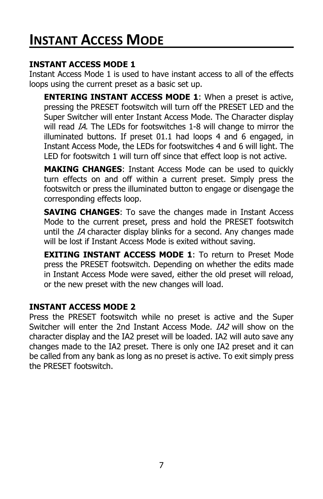## **INSTANT ACCESS MODE**

#### **INSTANT ACCESS MODE 1**

Instant Access Mode 1 is used to have instant access to all of the effects loops using the current preset as a basic set up.

**ENTERING INSTANT ACCESS MODE 1**: When a preset is active, pressing the PRESET footswitch will turn off the PRESET LED and the Super Switcher will enter Instant Access Mode. The Character display will read IA. The LEDs for footswitches 1-8 will change to mirror the illuminated buttons. If preset 01.1 had loops 4 and 6 engaged, in Instant Access Mode, the LEDs for footswitches 4 and 6 will light. The LED for footswitch 1 will turn off since that effect loop is not active.

**MAKING CHANGES**: Instant Access Mode can be used to quickly turn effects on and off within a current preset. Simply press the footswitch or press the illuminated button to engage or disengage the corresponding effects loop.

**SAVING CHANGES**: To save the changes made in Instant Access Mode to the current preset, press and hold the PRESET footswitch until the IA character display blinks for a second. Any changes made will be lost if Instant Access Mode is exited without saving.

**EXITING INSTANT ACCESS MODE 1**: To return to Preset Mode press the PRESET footswitch. Depending on whether the edits made in Instant Access Mode were saved, either the old preset will reload, or the new preset with the new changes will load.

### **INSTANT ACCESS MODE 2**

Press the PRESET footswitch while no preset is active and the Super Switcher will enter the 2nd Instant Access Mode. IA2 will show on the character display and the IA2 preset will be loaded. IA2 will auto save any changes made to the IA2 preset. There is only one IA2 preset and it can be called from any bank as long as no preset is active. To exit simply press the PRESET footswitch.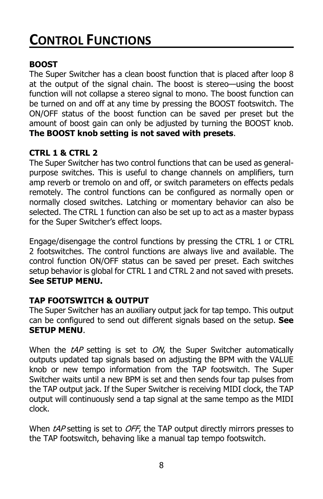## **CONTROL FUNCTIONS**

### **BOOST**

The Super Switcher has a clean boost function that is placed after loop 8 at the output of the signal chain. The boost is stereo—using the boost function will not collapse a stereo signal to mono. The boost function can be turned on and off at any time by pressing the BOOST footswitch. The ON/OFF status of the boost function can be saved per preset but the amount of boost gain can only be adjusted by turning the BOOST knob. **The BOOST knob setting is not saved with presets**.

### **CTRL 1 & CTRL 2**

The Super Switcher has two control functions that can be used as generalpurpose switches. This is useful to change channels on amplifiers, turn amp reverb or tremolo on and off, or switch parameters on effects pedals remotely. The control functions can be configured as normally open or normally closed switches. Latching or momentary behavior can also be selected. The CTRL 1 function can also be set up to act as a master bypass for the Super Switcher's effect loops.

Engage/disengage the control functions by pressing the CTRL 1 or CTRL 2 footswitches. The control functions are always live and available. The control function ON/OFF status can be saved per preset. Each switches setup behavior is global for CTRL 1 and CTRL 2 and not saved with presets. **See SETUP MENU.**

### **TAP FOOTSWITCH & OUTPUT**

The Super Switcher has an auxiliary output jack for tap tempo. This output can be configured to send out different signals based on the setup. **See SETUP MENU**.

When the  $tAP$  setting is set to  $ON$ , the Super Switcher automatically outputs updated tap signals based on adjusting the BPM with the VALUE knob or new tempo information from the TAP footswitch. The Super Switcher waits until a new BPM is set and then sends four tap pulses from the TAP output jack. If the Super Switcher is receiving MIDI clock, the TAP output will continuously send a tap signal at the same tempo as the MIDI clock.

When tAP setting is set to OFF, the TAP output directly mirrors presses to the TAP footswitch, behaving like a manual tap tempo footswitch.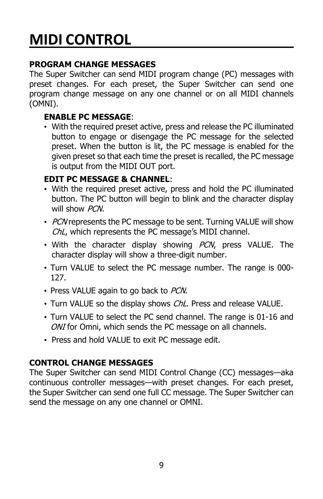## **MIDI CONTROL**

### **PROGRAM CHANGE MESSAGES**

The Super Switcher can send MIDI program change (PC) messages with preset changes. For each preset, the Super Switcher can send one program change message on any one channel or on all MIDI channels (OMNI).

### **ENABLE PC MESSAGE**:

• With the required preset active, press and release the PC illuminated button to engage or disengage the PC message for the selected preset. When the button is lit, the PC message is enabled for the given preset so that each time the preset is recalled, the PC message is output from the MIDI OUT port.

### **EDIT PC MESSAGE & CHANNEL**:

- With the required preset active, press and hold the PC illuminated button. The PC button will begin to blink and the character display will show PCN.
- PCN represents the PC message to be sent. Turning VALUE will show ChL, which represents the PC message's MIDI channel.
- With the character display showing PCN, press VALUE. The character display will show a three-digit number.
- Turn VALUE to select the PC message number. The range is 000- 127.
- Press VALUE again to go back to PCN.
- Turn VALUE so the display shows ChL. Press and release VALUE.
- Turn VALUE to select the PC send channel. The range is 01-16 and ONI for Omni, which sends the PC message on all channels.
- Press and hold VALUE to exit PC message edit.

### **CONTROL CHANGE MESSAGES**

The Super Switcher can send MIDI Control Change (CC) messages—aka continuous controller messages—with preset changes. For each preset, the Super Switcher can send one full CC message. The Super Switcher can send the message on any one channel or OMNI.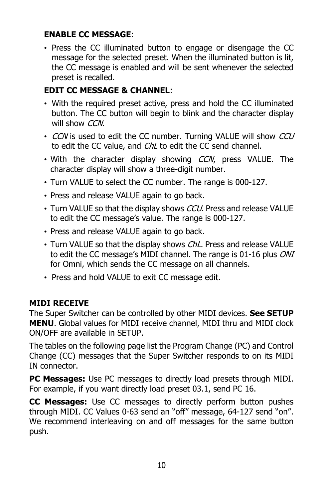### **ENABLE CC MESSAGE**:

• Press the CC illuminated button to engage or disengage the CC message for the selected preset. When the illuminated button is lit, the CC message is enabled and will be sent whenever the selected preset is recalled.

### **EDIT CC MESSAGE & CHANNEL**:

- With the required preset active, press and hold the CC illuminated button. The CC button will begin to blink and the character display will show CCN.
- CCN is used to edit the CC number. Turning VALUE will show CCU to edit the CC value, and ChL to edit the CC send channel.
- With the character display showing CCN, press VALUE. The character display will show a three-digit number.
- Turn VALUE to select the CC number. The range is 000-127.
- Press and release VALUE again to go back.
- Turn VALUE so that the display shows CCU. Press and release VALUE to edit the CC message's value. The range is 000-127.
- Press and release VALUE again to go back.
- Turn VALUE so that the display shows ChL. Press and release VALUE to edit the CC message's MIDI channel. The range is 01-16 plus ONI for Omni, which sends the CC message on all channels.
- Press and hold VALUE to exit CC message edit.

### **MIDI RECEIVE**

The Super Switcher can be controlled by other MIDI devices. **See SETUP MENU**. Global values for MIDI receive channel, MIDI thru and MIDI clock ON/OFF are available in SETUP.

The tables on the following page list the Program Change (PC) and Control Change (CC) messages that the Super Switcher responds to on its MIDI IN connector.

**PC Messages:** Use PC messages to directly load presets through MIDI. For example, if you want directly load preset 03.1, send PC 16.

**CC Messages:** Use CC messages to directly perform button pushes through MIDI. CC Values 0-63 send an "off" message, 64-127 send "on". We recommend interleaving on and off messages for the same button push.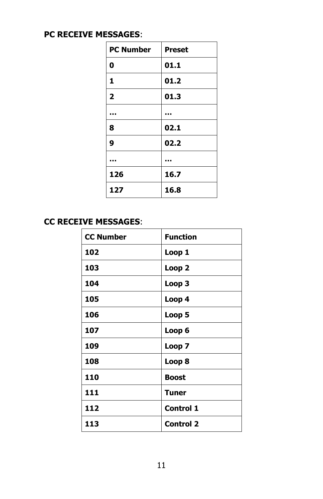### **PC RECEIVE MESSAGES**:

| <b>PC Number</b>        | <b>Preset</b> |
|-------------------------|---------------|
| 0                       | 01.1          |
| 1                       | 01.2          |
| $\overline{\mathbf{2}}$ | 01.3          |
|                         |               |
| 8                       | 02.1          |
| 9                       | 02.2          |
|                         |               |
| 126                     | 16.7          |
| 127                     | 16.8          |

### **CC RECEIVE MESSAGES**:

| <b>CC Number</b> | <b>Function</b>  |
|------------------|------------------|
| 102              | Loop 1           |
| 103              | Loop 2           |
| 104              | Loop 3           |
| 105              | Loop 4           |
| 106              | Loop 5           |
| 107              | Loop 6           |
| 109              | Loop 7           |
| 108              | Loop 8           |
| 110              | <b>Boost</b>     |
| 111              | <b>Tuner</b>     |
| 112              | <b>Control 1</b> |
| 113              | <b>Control 2</b> |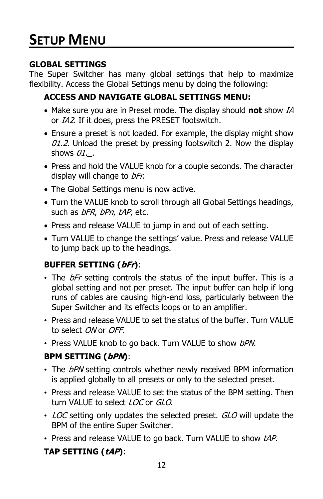## **SETUP MENU**

### **GLOBAL SETTINGS**

The Super Switcher has many global settings that help to maximize flexibility. Access the Global Settings menu by doing the following:

### **ACCESS AND NAVIGATE GLOBAL SETTINGS MENU:**

- Make sure you are in Preset mode. The display should **not** show IA or IA2. If it does, press the PRESET footswitch.
- Ensure a preset is not loaded. For example, the display might show  $01.2$ . Unload the preset by pressing footswitch 2. Now the display shows 01..
- Press and hold the VALUE knob for a couple seconds. The character display will change to bFr.
- The Global Settings menu is now active.
- Turn the VALUE knob to scroll through all Global Settings headings, such as bFR, bPn, tAP, etc.
- Press and release VALUE to jump in and out of each setting.
- Turn VALUE to change the settings' value. Press and release VALUE to jump back up to the headings.

### **BUFFER SETTING (bFr)**:

- The bFr setting controls the status of the input buffer. This is a global setting and not per preset. The input buffer can help if long runs of cables are causing high-end loss, particularly between the Super Switcher and its effects loops or to an amplifier.
- Press and release VALUE to set the status of the buffer. Turn VALUE to select ON or OFF.
- Press VALUE knob to go back. Turn VALUE to show bPN.

### **BPM SETTING (bPN)**:

- The bPN setting controls whether newly received BPM information is applied globally to all presets or only to the selected preset.
- Press and release VALUE to set the status of the BPM setting. Then turn VALUE to select LOC or GLO.
- LOC setting only updates the selected preset. GLO will update the BPM of the entire Super Switcher.
- Press and release VALUE to go back. Turn VALUE to show tAP.

### **TAP SETTING (tAP)**: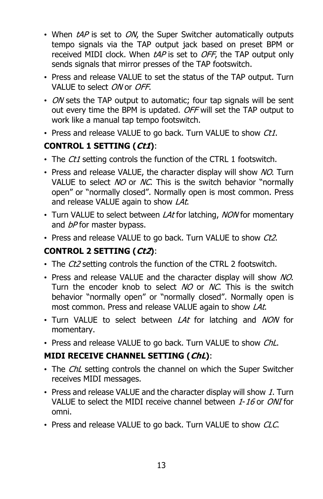- When  $tAP$  is set to  $ON$ , the Super Switcher automatically outputs tempo signals via the TAP output jack based on preset BPM or received MIDI clock. When tAP is set to OFF, the TAP output only sends signals that mirror presses of the TAP footswitch.
- Press and release VALUE to set the status of the TAP output. Turn VALUE to select ON or OFF.
- ON sets the TAP output to automatic; four tap signals will be sent out every time the BPM is updated. OFF will set the TAP output to work like a manual tap tempo footswitch.
- Press and release VALUE to go back. Turn VALUE to show Ct1.

### **CONTROL 1 SETTING (Ct1)**:

- The Ct1 setting controls the function of the CTRL 1 footswitch.
- Press and release VALUE, the character display will show NO. Turn VALUE to select NO or NC. This is the switch behavior "normally open" or "normally closed". Normally open is most common. Press and release VALUE again to show LAt.
- Turn VALUE to select between *LAt* for latching, *NON* for momentary and bP for master bypass.
- Press and release VALUE to go back. Turn VALUE to show Ct2.

### **CONTROL 2 SETTING (Ct2)**:

- The Ct2 setting controls the function of the CTRL 2 footswitch.
- Press and release VALUE and the character display will show NO. Turn the encoder knob to select NO or NC. This is the switch behavior "normally open" or "normally closed". Normally open is most common. Press and release VALUE again to show LAt.
- Turn VALUE to select between LAt for latching and NON for momentary.
- Press and release VALUE to go back. Turn VALUE to show ChL.

### **MIDI RECEIVE CHANNEL SETTING (ChL)**:

- The ChL setting controls the channel on which the Super Switcher receives MIDI messages.
- Press and release VALUE and the character display will show 1. Turn VALUE to select the MIDI receive channel between 1-16 or ONI for omni.
- Press and release VALUE to go back. Turn VALUE to show CLC.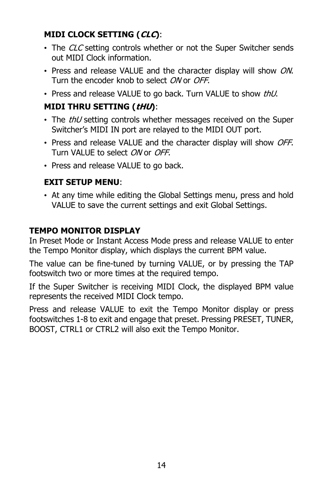### **MIDI CLOCK SETTING (CLC)**:

- The CLC setting controls whether or not the Super Switcher sends out MIDI Clock information.
- Press and release VALUE and the character display will show ON. Turn the encoder knob to select ON or OFF.
- Press and release VALUE to go back. Turn VALUE to show thU.

### **MIDI THRU SETTING (tHU)**:

- The *thU* setting controls whether messages received on the Super Switcher's MIDI IN port are relayed to the MIDI OUT port.
- Press and release VALUE and the character display will show OFF. Turn VALUE to select ON or OFF.
- Press and release VALUE to go back.

### **EXIT SETUP MENU**:

• At any time while editing the Global Settings menu, press and hold VALUE to save the current settings and exit Global Settings.

### **TEMPO MONITOR DISPLAY**

In Preset Mode or Instant Access Mode press and release VALUE to enter the Tempo Monitor display, which displays the current BPM value.

The value can be fine-tuned by turning VALUE, or by pressing the TAP footswitch two or more times at the required tempo.

If the Super Switcher is receiving MIDI Clock, the displayed BPM value represents the received MIDI Clock tempo.

Press and release VALUE to exit the Tempo Monitor display or press footswitches 1-8 to exit and engage that preset. Pressing PRESET, TUNER, BOOST, CTRL1 or CTRL2 will also exit the Tempo Monitor.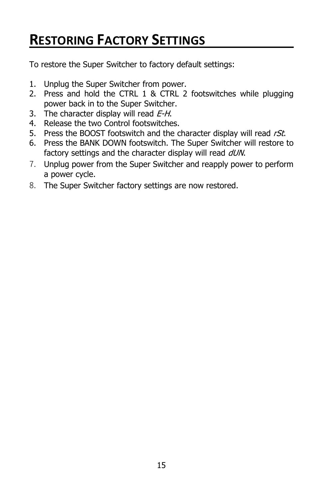## **RESTORING FACTORY SETTINGS**

To restore the Super Switcher to factory default settings:

- 1. Unplug the Super Switcher from power.
- 2. Press and hold the CTRL 1 & CTRL 2 footswitches while plugging power back in to the Super Switcher.
- 3. The character display will read  $E-H$ .
- 4. Release the two Control footswitches.
- 5. Press the BOOST footswitch and the character display will read  $rSt$ .
- 6. Press the BANK DOWN footswitch. The Super Switcher will restore to factory settings and the character display will read  $dUN$ .
- 7. Unplug power from the Super Switcher and reapply power to perform a power cycle.
- 8. The Super Switcher factory settings are now restored.